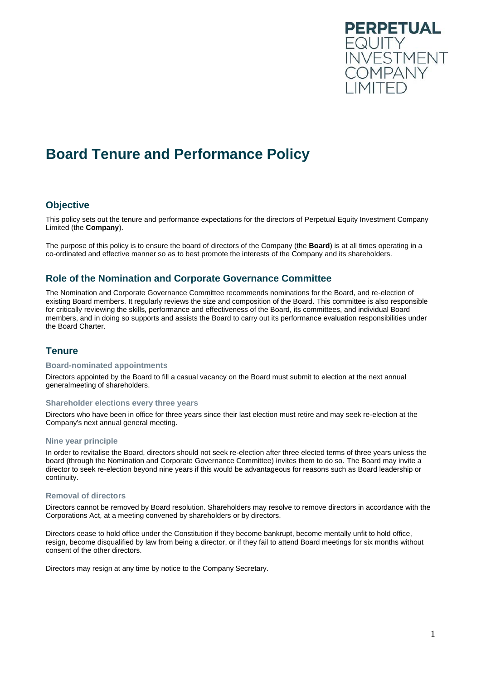

# **Board Tenure and Performance Policy**

## **Objective**

This policy sets out the tenure and performance expectations for the directors of Perpetual Equity Investment Company Limited (the **Company**).

The purpose of this policy is to ensure the board of directors of the Company (the **Board**) is at all times operating in a co-ordinated and effective manner so as to best promote the interests of the Company and its shareholders.

## **Role of the Nomination and Corporate Governance Committee**

The Nomination and Corporate Governance Committee recommends nominations for the Board, and re-election of existing Board members. It regularly reviews the size and composition of the Board. This committee is also responsible for critically reviewing the skills, performance and effectiveness of the Board, its committees, and individual Board members, and in doing so supports and assists the Board to carry out its performance evaluation responsibilities under the Board Charter.

## **Tenure**

#### **Board-nominated appointments**

Directors appointed by the Board to fill a casual vacancy on the Board must submit to election at the next annual generalmeeting of shareholders.

#### **Shareholder elections every three years**

Directors who have been in office for three years since their last election must retire and may seek re-election at the Company's next annual general meeting.

#### **Nine year principle**

In order to revitalise the Board, directors should not seek re-election after three elected terms of three years unless the board (through the Nomination and Corporate Governance Committee) invites them to do so. The Board may invite a director to seek re-election beyond nine years if this would be advantageous for reasons such as Board leadership or continuity.

#### **Removal of directors**

Directors cannot be removed by Board resolution. Shareholders may resolve to remove directors in accordance with the Corporations Act, at a meeting convened by shareholders or by directors.

Directors cease to hold office under the Constitution if they become bankrupt, become mentally unfit to hold office, resign, become disqualified by law from being a director, or if they fail to attend Board meetings for six months without consent of the other directors.

Directors may resign at any time by notice to the Company Secretary.